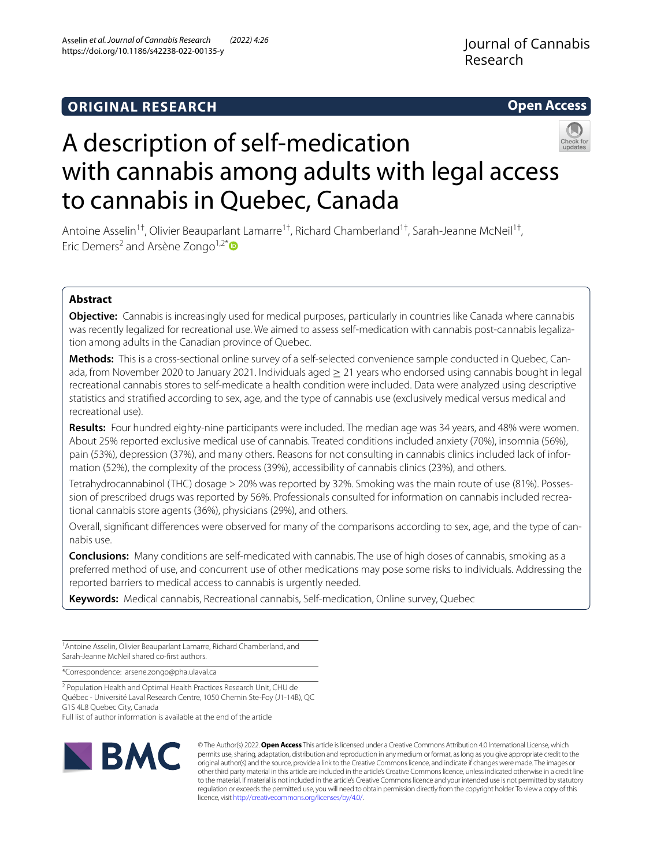## **ORIGINAL RESEARCH**

**Open Access**

# A description of self-medication with cannabis among adults with legal access to cannabis in Quebec, Canada

Antoine Asselin<sup>1†</sup>, Olivier Beauparlant Lamarre<sup>1†</sup>, Richard Chamberland<sup>1†</sup>, Sarah-Jeanne McNeil<sup>1†</sup>, Eric Demers<sup>2</sup> and Arsène Zongo<sup>1,2\*</sup>

## **Abstract**

**Objective:** Cannabis is increasingly used for medical purposes, particularly in countries like Canada where cannabis was recently legalized for recreational use. We aimed to assess self-medication with cannabis post-cannabis legalization among adults in the Canadian province of Quebec.

**Methods:** This is a cross-sectional online survey of a self-selected convenience sample conducted in Quebec, Can‑ ada, from November 2020 to January 2021. Individuals aged ≥ 21 years who endorsed using cannabis bought in legal recreational cannabis stores to self-medicate a health condition were included. Data were analyzed using descriptive statistics and stratifed according to sex, age, and the type of cannabis use (exclusively medical versus medical and recreational use).

**Results:** Four hundred eighty-nine participants were included. The median age was 34 years, and 48% were women. About 25% reported exclusive medical use of cannabis. Treated conditions included anxiety (70%), insomnia (56%), pain (53%), depression (37%), and many others. Reasons for not consulting in cannabis clinics included lack of information (52%), the complexity of the process (39%), accessibility of cannabis clinics (23%), and others.

Tetrahydrocannabinol (THC) dosage > 20% was reported by 32%. Smoking was the main route of use (81%). Posses‑ sion of prescribed drugs was reported by 56%. Professionals consulted for information on cannabis included recreational cannabis store agents (36%), physicians (29%), and others.

Overall, significant differences were observed for many of the comparisons according to sex, age, and the type of cannabis use.

**Conclusions:** Many conditions are self-medicated with cannabis. The use of high doses of cannabis, smoking as a preferred method of use, and concurrent use of other medications may pose some risks to individuals. Addressing the reported barriers to medical access to cannabis is urgently needed.

**Keywords:** Medical cannabis, Recreational cannabis, Self-medication, Online survey, Quebec

† Antoine Asselin, Olivier Beauparlant Lamarre, Richard Chamberland, and Sarah-Jeanne McNeil shared co-frst authors.

\*Correspondence: arsene.zongo@pha.ulaval.ca

<sup>2</sup> Population Health and Optimal Health Practices Research Unit, CHU de Québec - Université Laval Research Centre, 1050 Chemin Ste‑Foy (J1‑14B), QC G1S 4L8 Quebec City, Canada





© The Author(s) 2022. **Open Access** This article is licensed under a Creative Commons Attribution 4.0 International License, which permits use, sharing, adaptation, distribution and reproduction in any medium or format, as long as you give appropriate credit to the original author(s) and the source, provide a link to the Creative Commons licence, and indicate if changes were made. The images or other third party material in this article are included in the article's Creative Commons licence, unless indicated otherwise in a credit line to the material. If material is not included in the article's Creative Commons licence and your intended use is not permitted by statutory regulation or exceeds the permitted use, you will need to obtain permission directly from the copyright holder. To view a copy of this licence, visit [http://creativecommons.org/licenses/by/4.0/.](http://creativecommons.org/licenses/by/4.0/)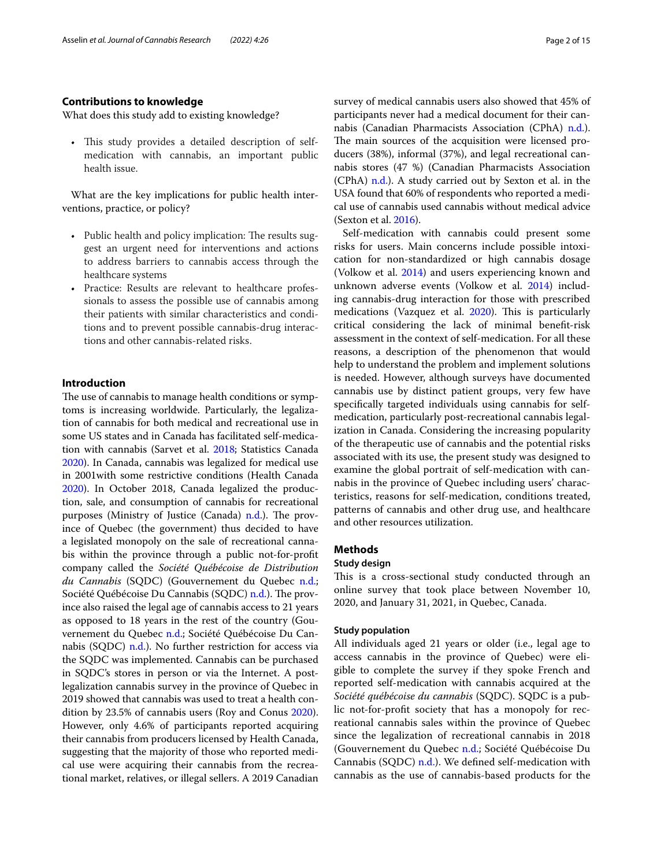## **Contributions to knowledge**

What does this study add to existing knowledge?

• This study provides a detailed description of selfmedication with cannabis, an important public health issue.

What are the key implications for public health interventions, practice, or policy?

- Public health and policy implication: The results suggest an urgent need for interventions and actions to address barriers to cannabis access through the healthcare systems
- Practice: Results are relevant to healthcare professionals to assess the possible use of cannabis among their patients with similar characteristics and conditions and to prevent possible cannabis-drug interactions and other cannabis-related risks.

## **Introduction**

The use of cannabis to manage health conditions or symptoms is increasing worldwide. Particularly, the legalization of cannabis for both medical and recreational use in some US states and in Canada has facilitated self-medication with cannabis (Sarvet et al. [2018](#page-14-0); Statistics Canada [2020](#page-14-1)). In Canada, cannabis was legalized for medical use in 2001with some restrictive conditions (Health Canada [2020](#page-14-2)). In October 2018, Canada legalized the production, sale, and consumption of cannabis for recreational purposes (Ministry of Justice (Canada) [n.d.](#page-14-3)). The province of Quebec (the government) thus decided to have a legislated monopoly on the sale of recreational cannabis within the province through a public not-for-proft company called the *Société Québécoise de Distribution du Cannabis* (SQDC) (Gouvernement du Quebec [n.d.](#page-14-4); Société Québécoise Du Cannabis (SQDC) [n.d.](#page-14-5)). The province also raised the legal age of cannabis access to 21 years as opposed to 18 years in the rest of the country (Gouvernement du Quebec [n.d.;](#page-14-4) Société Québécoise Du Cannabis (SQDC) [n.d.](#page-14-5)). No further restriction for access via the SQDC was implemented. Cannabis can be purchased in SQDC's stores in person or via the Internet. A postlegalization cannabis survey in the province of Quebec in 2019 showed that cannabis was used to treat a health condition by 23.5% of cannabis users (Roy and Conus [2020](#page-14-6)). However, only 4.6% of participants reported acquiring their cannabis from producers licensed by Health Canada, suggesting that the majority of those who reported medical use were acquiring their cannabis from the recreational market, relatives, or illegal sellers. A 2019 Canadian survey of medical cannabis users also showed that 45% of participants never had a medical document for their cannabis (Canadian Pharmacists Association (CPhA) [n.d.](#page-14-7)). The main sources of the acquisition were licensed producers (38%), informal (37%), and legal recreational cannabis stores (47 %) (Canadian Pharmacists Association (CPhA) [n.d.\)](#page-14-7). A study carried out by Sexton et al. in the USA found that 60% of respondents who reported a medical use of cannabis used cannabis without medical advice (Sexton et al. [2016\)](#page-14-8).

Self-medication with cannabis could present some risks for users. Main concerns include possible intoxication for non-standardized or high cannabis dosage (Volkow et al. [2014\)](#page-14-9) and users experiencing known and unknown adverse events (Volkow et al. [2014](#page-14-9)) including cannabis-drug interaction for those with prescribed medications (Vazquez et al. [2020\)](#page-14-10). This is particularly critical considering the lack of minimal beneft-risk assessment in the context of self-medication. For all these reasons, a description of the phenomenon that would help to understand the problem and implement solutions is needed. However, although surveys have documented cannabis use by distinct patient groups, very few have specifcally targeted individuals using cannabis for selfmedication, particularly post-recreational cannabis legalization in Canada. Considering the increasing popularity of the therapeutic use of cannabis and the potential risks associated with its use, the present study was designed to examine the global portrait of self-medication with cannabis in the province of Quebec including users' characteristics, reasons for self-medication, conditions treated, patterns of cannabis and other drug use, and healthcare and other resources utilization.

## **Methods**

## **Study design**

This is a cross-sectional study conducted through an online survey that took place between November 10, 2020, and January 31, 2021, in Quebec, Canada.

#### **Study population**

All individuals aged 21 years or older (i.e., legal age to access cannabis in the province of Quebec) were eligible to complete the survey if they spoke French and reported self-medication with cannabis acquired at the *Société québécoise du cannabis* (SQDC). SQDC is a public not-for-proft society that has a monopoly for recreational cannabis sales within the province of Quebec since the legalization of recreational cannabis in 2018 (Gouvernement du Quebec [n.d.;](#page-14-4) Société Québécoise Du Cannabis (SQDC)  $n.d.$ ). We defined self-medication with cannabis as the use of cannabis-based products for the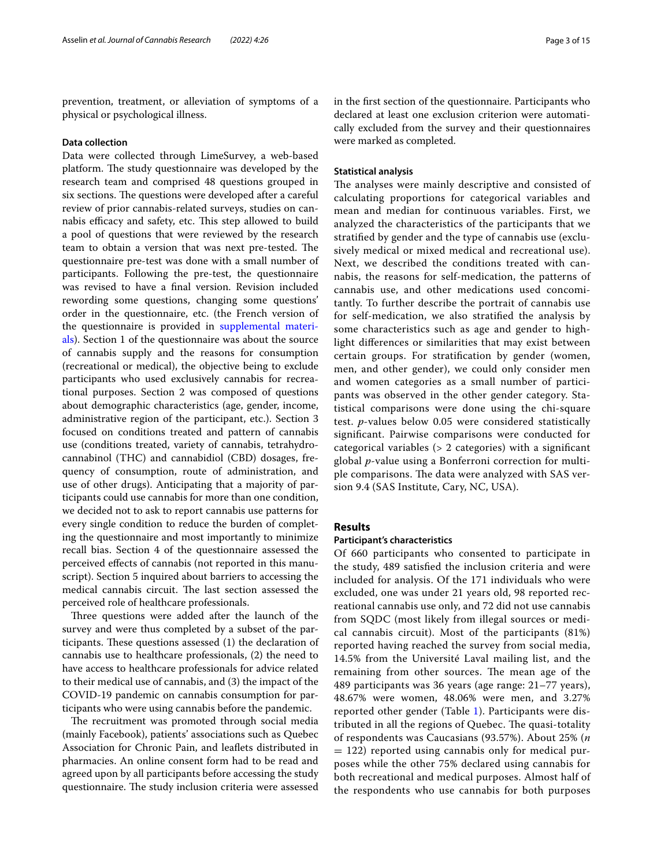prevention, treatment, or alleviation of symptoms of a physical or psychological illness.

## **Data collection**

Data were collected through LimeSurvey, a web-based platform. The study questionnaire was developed by the research team and comprised 48 questions grouped in six sections. The questions were developed after a careful review of prior cannabis-related surveys, studies on cannabis efficacy and safety, etc. This step allowed to build a pool of questions that were reviewed by the research team to obtain a version that was next pre-tested. The questionnaire pre-test was done with a small number of participants. Following the pre-test, the questionnaire was revised to have a fnal version. Revision included rewording some questions, changing some questions' order in the questionnaire, etc. (the French version of the questionnaire is provided in [supplemental materi](#page-14-11)[als\)](#page-14-11). Section 1 of the questionnaire was about the source of cannabis supply and the reasons for consumption (recreational or medical), the objective being to exclude participants who used exclusively cannabis for recreational purposes. Section 2 was composed of questions about demographic characteristics (age, gender, income, administrative region of the participant, etc.). Section 3 focused on conditions treated and pattern of cannabis use (conditions treated, variety of cannabis, tetrahydrocannabinol (THC) and cannabidiol (CBD) dosages, frequency of consumption, route of administration, and use of other drugs). Anticipating that a majority of participants could use cannabis for more than one condition, we decided not to ask to report cannabis use patterns for every single condition to reduce the burden of completing the questionnaire and most importantly to minimize recall bias. Section 4 of the questionnaire assessed the perceived efects of cannabis (not reported in this manuscript). Section 5 inquired about barriers to accessing the medical cannabis circuit. The last section assessed the perceived role of healthcare professionals.

Three questions were added after the launch of the survey and were thus completed by a subset of the participants. These questions assessed (1) the declaration of cannabis use to healthcare professionals, (2) the need to have access to healthcare professionals for advice related to their medical use of cannabis, and (3) the impact of the COVID-19 pandemic on cannabis consumption for participants who were using cannabis before the pandemic.

The recruitment was promoted through social media (mainly Facebook), patients' associations such as Quebec Association for Chronic Pain, and leafets distributed in pharmacies. An online consent form had to be read and agreed upon by all participants before accessing the study questionnaire. The study inclusion criteria were assessed in the frst section of the questionnaire. Participants who declared at least one exclusion criterion were automatically excluded from the survey and their questionnaires were marked as completed.

## **Statistical analysis**

The analyses were mainly descriptive and consisted of calculating proportions for categorical variables and mean and median for continuous variables. First, we analyzed the characteristics of the participants that we stratifed by gender and the type of cannabis use (exclusively medical or mixed medical and recreational use). Next, we described the conditions treated with cannabis, the reasons for self-medication, the patterns of cannabis use, and other medications used concomitantly. To further describe the portrait of cannabis use for self-medication, we also stratifed the analysis by some characteristics such as age and gender to highlight diferences or similarities that may exist between certain groups. For stratifcation by gender (women, men, and other gender), we could only consider men and women categories as a small number of participants was observed in the other gender category. Statistical comparisons were done using the chi-square test. *p*-values below 0.05 were considered statistically signifcant. Pairwise comparisons were conducted for categorical variables (> 2 categories) with a signifcant global *p*-value using a Bonferroni correction for multiple comparisons. The data were analyzed with SAS version 9.4 (SAS Institute, Cary, NC, USA).

## **Results**

## **Participant's characteristics**

Of 660 participants who consented to participate in the study, 489 satisfed the inclusion criteria and were included for analysis. Of the 171 individuals who were excluded, one was under 21 years old, 98 reported recreational cannabis use only, and 72 did not use cannabis from SQDC (most likely from illegal sources or medical cannabis circuit). Most of the participants (81%) reported having reached the survey from social media, 14.5% from the Université Laval mailing list, and the remaining from other sources. The mean age of the 489 participants was 36 years (age range: 21–77 years), 48.67% were women, 48.06% were men, and 3.27% reported other gender (Table [1\)](#page-3-0). Participants were distributed in all the regions of Quebec. The quasi-totality of respondents was Caucasians (93.57%). About 25% (*n*  $= 122$ ) reported using cannabis only for medical purposes while the other 75% declared using cannabis for both recreational and medical purposes. Almost half of the respondents who use cannabis for both purposes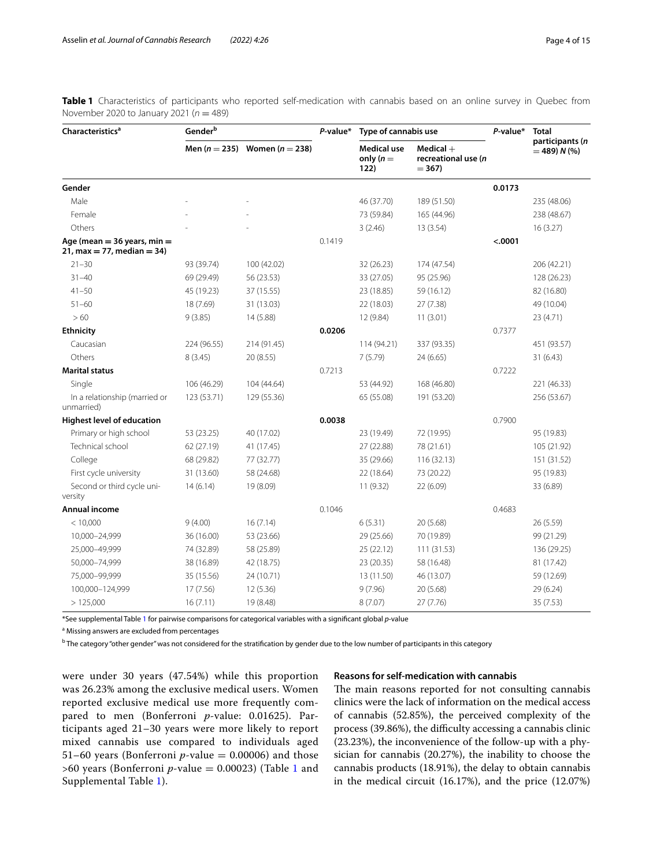<span id="page-3-0"></span>**Table 1** Characteristics of participants who reported self-medication with cannabis based on an online survey in Quebec from November 2020 to January 2021 (*n* = 489)

| <b>Characteristics<sup>a</sup></b>                             | Gender $^{\rm b}$ |                                       | $P$ -value* | Type of cannabis use               |                                               | $P$ -value* | <b>Total</b>                      |
|----------------------------------------------------------------|-------------------|---------------------------------------|-------------|------------------------------------|-----------------------------------------------|-------------|-----------------------------------|
|                                                                |                   | Men ( $n = 235$ ) Women ( $n = 238$ ) |             | Medical use<br>only $(n =$<br>122) | $Medical +$<br>recreational use (n<br>$= 367$ |             | participants (n<br>$=$ 489) N (%) |
| Gender                                                         |                   |                                       |             |                                    |                                               | 0.0173      |                                   |
| Male                                                           |                   |                                       |             | 46 (37.70)                         | 189 (51.50)                                   |             | 235 (48.06)                       |
| Female                                                         |                   |                                       |             | 73 (59.84)                         | 165 (44.96)                                   |             | 238 (48.67)                       |
| Others                                                         |                   |                                       |             | 3(2.46)                            | 13(3.54)                                      |             | 16(3.27)                          |
| Age (mean = $36$ years, min =<br>$21$ , max = 77, median = 34) |                   |                                       | 0.1419      |                                    |                                               | < .0001     |                                   |
| $21 - 30$                                                      | 93 (39.74)        | 100 (42.02)                           |             | 32 (26.23)                         | 174 (47.54)                                   |             | 206 (42.21)                       |
| $31 - 40$                                                      | 69 (29.49)        | 56 (23.53)                            |             | 33 (27.05)                         | 95 (25.96)                                    |             | 128 (26.23)                       |
| $41 - 50$                                                      | 45 (19.23)        | 37 (15.55)                            |             | 23 (18.85)                         | 59 (16.12)                                    |             | 82 (16.80)                        |
| $51 - 60$                                                      | 18 (7.69)         | 31 (13.03)                            |             | 22 (18.03)                         | 27 (7.38)                                     |             | 49 (10.04)                        |
| > 60                                                           | 9(3.85)           | 14 (5.88)                             |             | 12 (9.84)                          | 11(3.01)                                      |             | 23 (4.71)                         |
| <b>Ethnicity</b>                                               |                   |                                       | 0.0206      |                                    |                                               | 0.7377      |                                   |
| Caucasian                                                      | 224 (96.55)       | 214 (91.45)                           |             | 114 (94.21)                        | 337 (93.35)                                   |             | 451 (93.57)                       |
| Others                                                         | 8(3.45)           | 20 (8.55)                             |             | 7(5.79)                            | 24(6.65)                                      |             | 31(6.43)                          |
| <b>Marital status</b>                                          |                   |                                       | 0.7213      |                                    |                                               | 0.7222      |                                   |
| Single                                                         | 106 (46.29)       | 104 (44.64)                           |             | 53 (44.92)                         | 168 (46.80)                                   |             | 221 (46.33)                       |
| In a relationship (married or<br>unmarried)                    | 123 (53.71)       | 129 (55.36)                           |             | 65 (55.08)                         | 191 (53.20)                                   |             | 256 (53.67)                       |
| <b>Highest level of education</b>                              |                   |                                       | 0.0038      |                                    |                                               | 0.7900      |                                   |
| Primary or high school                                         | 53 (23.25)        | 40 (17.02)                            |             | 23 (19.49)                         | 72 (19.95)                                    |             | 95 (19.83)                        |
| Technical school                                               | 62 (27.19)        | 41 (17.45)                            |             | 27 (22.88)                         | 78 (21.61)                                    |             | 105 (21.92)                       |
| College                                                        | 68 (29.82)        | 77 (32.77)                            |             | 35 (29.66)                         | 116 (32.13)                                   |             | 151 (31.52)                       |
| First cycle university                                         | 31 (13.60)        | 58 (24.68)                            |             | 22 (18.64)                         | 73 (20.22)                                    |             | 95 (19.83)                        |
| Second or third cycle uni-<br>versity                          | 14(6.14)          | 19 (8.09)                             |             | 11 (9.32)                          | 22 (6.09)                                     |             | 33 (6.89)                         |
| Annual income                                                  |                   |                                       | 0.1046      |                                    |                                               | 0.4683      |                                   |
| < 10,000                                                       | 9(4.00)           | 16(7.14)                              |             | 6(5.31)                            | 20 (5.68)                                     |             | 26 (5.59)                         |
| 10,000-24,999                                                  | 36 (16.00)        | 53 (23.66)                            |             | 29 (25.66)                         | 70 (19.89)                                    |             | 99 (21.29)                        |
| 25,000-49,999                                                  | 74 (32.89)        | 58 (25.89)                            |             | 25 (22.12)                         | 111 (31.53)                                   |             | 136 (29.25)                       |
| 50,000-74,999                                                  | 38 (16.89)        | 42 (18.75)                            |             | 23 (20.35)                         | 58 (16.48)                                    |             | 81 (17.42)                        |
| 75,000-99,999                                                  | 35 (15.56)        | 24 (10.71)                            |             | 13 (11.50)                         | 46 (13.07)                                    |             | 59 (12.69)                        |
| 100,000-124,999                                                | 17 (7.56)         | 12(5.36)                              |             | 9(7.96)                            | 20 (5.68)                                     |             | 29 (6.24)                         |
| >125,000                                                       | 16(7.11)          | 19 (8.48)                             |             | 8(7.07)                            | 27(7.76)                                      |             | 35 (7.53)                         |

\*See supplemental Table [1](#page-13-0) for pairwise comparisons for categorical variables with a signifcant global *p*-value

<sup>a</sup> Missing answers are excluded from percentages

 $^{\rm b}$  The category "other gender" was not considered for the stratification by gender due to the low number of participants in this category

were under 30 years (47.54%) while this proportion was 26.23% among the exclusive medical users. Women reported exclusive medical use more frequently compared to men (Bonferroni *p*-value: 0.01625). Participants aged 21–30 years were more likely to report mixed cannabis use compared to individuals aged 51–60 years (Bonferroni  $p$ -value = 0.00006) and those  $>60$  years (Bonferroni *p*-value = 0.00023) (Table [1](#page-3-0) and Supplemental Table [1\)](#page-13-0).

## **Reasons for self‑medication with cannabis**

The main reasons reported for not consulting cannabis clinics were the lack of information on the medical access of cannabis (52.85%), the perceived complexity of the process (39.86%), the difficulty accessing a cannabis clinic (23.23%), the inconvenience of the follow-up with a physician for cannabis (20.27%), the inability to choose the cannabis products (18.91%), the delay to obtain cannabis in the medical circuit (16.17%), and the price (12.07%)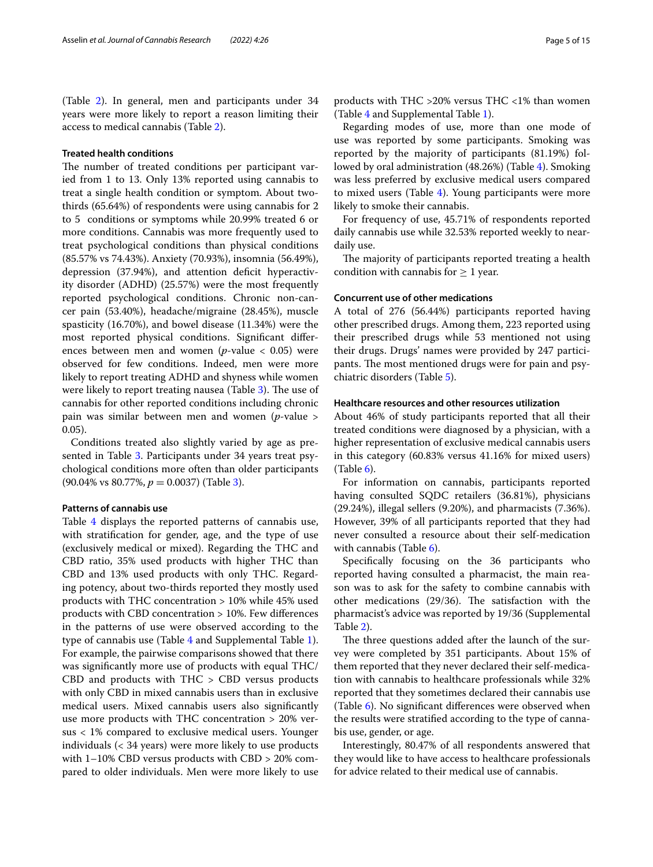(Table [2](#page-5-0)). In general, men and participants under 34 years were more likely to report a reason limiting their access to medical cannabis (Table [2\)](#page-5-0).

## **Treated health conditions**

The number of treated conditions per participant varied from 1 to 13. Only 13% reported using cannabis to treat a single health condition or symptom. About twothirds (65.64%) of respondents were using cannabis for 2 to 5 conditions or symptoms while 20.99% treated 6 or more conditions. Cannabis was more frequently used to treat psychological conditions than physical conditions (85.57% vs 74.43%). Anxiety (70.93%), insomnia (56.49%), depression (37.94%), and attention deficit hyperactivity disorder (ADHD) (25.57%) were the most frequently reported psychological conditions. Chronic non-cancer pain (53.40%), headache/migraine (28.45%), muscle spasticity (16.70%), and bowel disease (11.34%) were the most reported physical conditions. Signifcant diferences between men and women (*p*-value < 0.05) were observed for few conditions. Indeed, men were more likely to report treating ADHD and shyness while women were likely to report treating nausea (Table [3](#page-6-0)). The use of cannabis for other reported conditions including chronic pain was similar between men and women (*p*-value > 0.05).

Conditions treated also slightly varied by age as presented in Table [3](#page-6-0). Participants under 34 years treat psychological conditions more often than older participants (90.04% vs 80.77%, *p* = 0.0037) (Table [3](#page-6-0)).

## **Patterns of cannabis use**

Table [4](#page-7-0) displays the reported patterns of cannabis use, with stratifcation for gender, age, and the type of use (exclusively medical or mixed). Regarding the THC and CBD ratio, 35% used products with higher THC than CBD and 13% used products with only THC. Regarding potency, about two-thirds reported they mostly used products with THC concentration > 10% while 45% used products with CBD concentration > 10%. Few diferences in the patterns of use were observed according to the type of cannabis use (Table [4](#page-7-0) and Supplemental Table [1](#page-13-0)). For example, the pairwise comparisons showed that there was signifcantly more use of products with equal THC/ CBD and products with THC > CBD versus products with only CBD in mixed cannabis users than in exclusive medical users. Mixed cannabis users also signifcantly use more products with THC concentration > 20% versus < 1% compared to exclusive medical users. Younger individuals (< 34 years) were more likely to use products with 1–10% CBD versus products with CBD > 20% compared to older individuals. Men were more likely to use products with THC >20% versus THC <1% than women (Table [4](#page-7-0) and Supplemental Table [1](#page-13-0)).

Regarding modes of use, more than one mode of use was reported by some participants. Smoking was reported by the majority of participants (81.19%) followed by oral administration (48.26%) (Table [4\)](#page-7-0). Smoking was less preferred by exclusive medical users compared to mixed users (Table [4\)](#page-7-0). Young participants were more likely to smoke their cannabis.

For frequency of use, 45.71% of respondents reported daily cannabis use while 32.53% reported weekly to neardaily use.

The majority of participants reported treating a health condition with cannabis for  $\geq 1$  year.

## **Concurrent use of other medications**

A total of 276 (56.44%) participants reported having other prescribed drugs. Among them, 223 reported using their prescribed drugs while 53 mentioned not using their drugs. Drugs' names were provided by 247 participants. The most mentioned drugs were for pain and psychiatric disorders (Table [5](#page-9-0)).

## **Healthcare resources and other resources utilization**

About 46% of study participants reported that all their treated conditions were diagnosed by a physician, with a higher representation of exclusive medical cannabis users in this category (60.83% versus 41.16% for mixed users)  $(Table 6)$  $(Table 6)$ .

For information on cannabis, participants reported having consulted SQDC retailers (36.81%), physicians (29.24%), illegal sellers (9.20%), and pharmacists (7.36%). However, 39% of all participants reported that they had never consulted a resource about their self-medication with cannabis (Table [6](#page-10-0)).

Specifcally focusing on the 36 participants who reported having consulted a pharmacist, the main reason was to ask for the safety to combine cannabis with other medications  $(29/36)$ . The satisfaction with the pharmacist's advice was reported by 19/36 (Supplemental Table [2](#page-13-1)).

The three questions added after the launch of the survey were completed by 351 participants. About 15% of them reported that they never declared their self-medication with cannabis to healthcare professionals while 32% reported that they sometimes declared their cannabis use (Table [6](#page-10-0)). No signifcant diferences were observed when the results were stratifed according to the type of cannabis use, gender, or age.

Interestingly, 80.47% of all respondents answered that they would like to have access to healthcare professionals for advice related to their medical use of cannabis.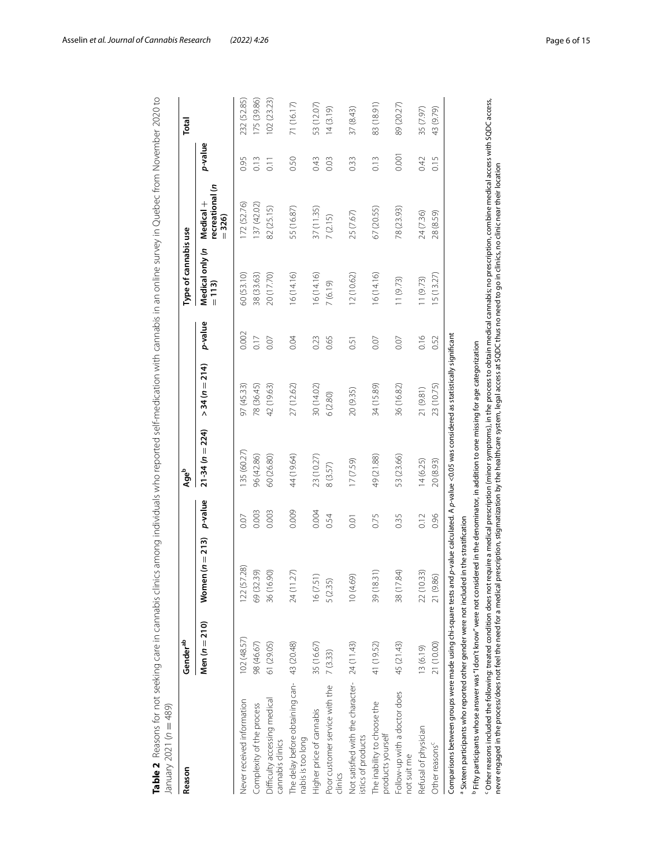<span id="page-5-0"></span>

| Men $(n = 210)$<br>102 (48.57)<br>98 (46.67)<br>61 (29.05)<br>Difficulty accessing medical<br>Never received information<br>Complexity of the process<br>cannabis clinics                                                                                                                                                                                                                     | Women $(n = 213)$ |         | Ageb               |                    |         | Type of cannabis use       |                                         |                  | Total       |
|-----------------------------------------------------------------------------------------------------------------------------------------------------------------------------------------------------------------------------------------------------------------------------------------------------------------------------------------------------------------------------------------------|-------------------|---------|--------------------|--------------------|---------|----------------------------|-----------------------------------------|------------------|-------------|
|                                                                                                                                                                                                                                                                                                                                                                                               |                   | p-value | 224)<br>$21-34(n=$ | $34(n = 214)$<br>Λ | p-value | Medical only (n<br>$= 113$ | s<br>recreational<br>Medical<br>$= 326$ | p-value          |             |
|                                                                                                                                                                                                                                                                                                                                                                                               | 122 (57.28)       | 0.07    | 135 (60.27)        | 97 (45.33)         | 0.002   | 50 (53.10)                 | 172 (52.76)                             | 0.95             | 232 (52.85) |
|                                                                                                                                                                                                                                                                                                                                                                                               | 69 (32.39)        | 0.003   | 96 (42.86)         | 78 (36.45)         | 0.17    | 38 (33.63)                 | 137 (42.02)                             | 0.13             | 175 (39.86) |
|                                                                                                                                                                                                                                                                                                                                                                                               | 36 (16.90)        | 0.003   | 50 (26.80)         | 42 (19.63)         | 0.07    | 20 (17.70)                 | 82 (25.15)                              | $\overline{0}$ . | 102 (23.23) |
| The delay before obtaining can- 43 (20.48)<br>nabis is too long                                                                                                                                                                                                                                                                                                                               | 24 (11.27)        | 0.009   | 44 (19.64)         | 27 (12.62)         | 0.04    | 16(14.16)                  | 55 (16.87)                              | 0.50             | 71 (16.17)  |
| 35 (16.67)<br>Higher price of cannabis                                                                                                                                                                                                                                                                                                                                                        | 51)<br>16(7)      | 0.004   | 23 (10.27)         | 30 (14.02)         | 0.23    | 6(14.16)                   | 37(11.35)                               | 0.43             | 53 (12.07)  |
| 7(3.33)<br>Poor customer service with the<br>clinics                                                                                                                                                                                                                                                                                                                                          | 5<br>5 (2.3       | 0.54    | 8 (3.57)           | 6(2.80)            | 0.65    | 7 (6.19)                   | 7(2.15)                                 | 0.03             | 14(3.19)    |
| Not satisfied with the character- 24 (11.43)<br>istics of products                                                                                                                                                                                                                                                                                                                            | ලි)<br>10(4.      | 0.01    | 17 (7.59)          | 20 (9.35)          | 0.51    | 12(10.62)                  | 25 (7.67)                               | 0.33             | 37(8.43)    |
| 41 (19.52)<br>The inability to choose the<br>products yourself                                                                                                                                                                                                                                                                                                                                | 39 (18.31)        | 0.75    | 49 (21.88)         | 34 (15.89)         | 0.07    | 16(14.16)                  | 67 (20.55)                              | 0.13             | 83 (18.91)  |
| 45 (21.43)<br>Follow-up with a doctor does<br>not suit me                                                                                                                                                                                                                                                                                                                                     | 38 (17.84)        | 0.35    | 53 (23.66)         | 36 (16.82)         | 0.07    | 11(9.73)                   | 78 (23.93)                              | 0.001            | 89 (20.27)  |
| 13 (6.19)<br>Refusal of physician                                                                                                                                                                                                                                                                                                                                                             | 22 (10.33)        | 0.12    | 14(6.25)           | 21 (9.81)          | 0.16    | 11(9.73)                   | 24 (7.36)                               | 0.42             | 35 (7.97)   |
| 21 (10.00)<br>Other reasons <sup>c</sup>                                                                                                                                                                                                                                                                                                                                                      | (36)<br>21(9)     | 0.96    | 20 (8.93)          | 23 (10.75)         | 0.52    | 15(13.27)                  | 28 (8.59)                               | 0.15             | 43 (9.79)   |
| Comparisons between groups were made using chi-square tests and p-value calculated. A p-value <0.05 was considered as statistically significant                                                                                                                                                                                                                                               |                   |         |                    |                    |         |                            |                                         |                  |             |
| <sup>a</sup> Sixteen participants who reported other gender were not included in the stratification                                                                                                                                                                                                                                                                                           |                   |         |                    |                    |         |                            |                                         |                  |             |
| <sup>c</sup> Other reasons included the following: treated condition does not require a medical prescription (minor symptoms), in the process to obtain medical cannabis; no prescription, combine medical access with SQDC access<br>$^{\rm b}$ Fifty participants whose answer was "I don't know" were not considered in the denominator, in addition to one missing for age categorization |                   |         |                    |                    |         |                            |                                         |                  |             |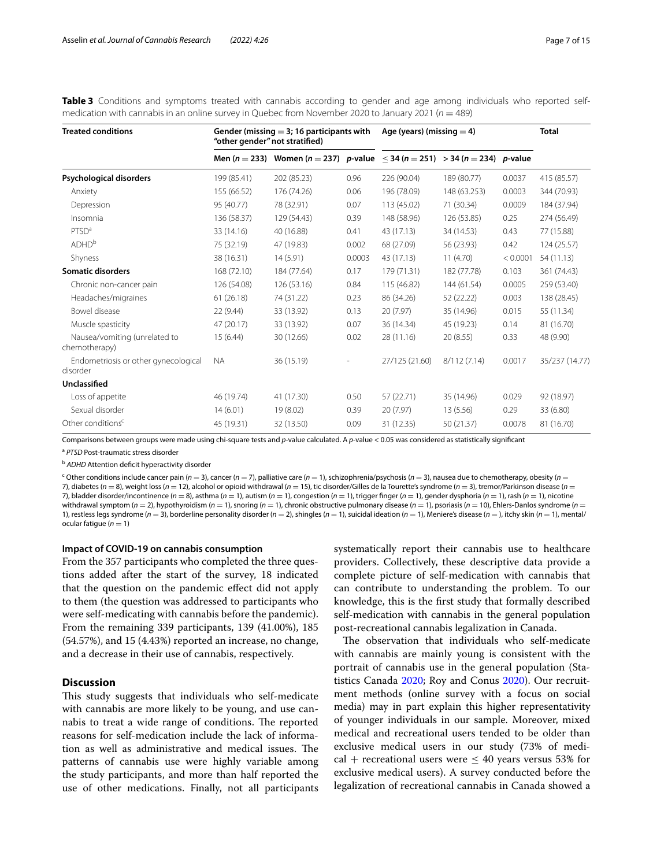| <b>Treated conditions</b>                        | "other gender" not stratified) | Gender (missing $=$ 3; 16 participants with                                                    |        | Age (years) (missing $=$ 4) |              |          | <b>Total</b>   |
|--------------------------------------------------|--------------------------------|------------------------------------------------------------------------------------------------|--------|-----------------------------|--------------|----------|----------------|
|                                                  |                                | Men (n = 233) Women (n = 237) p-value $\langle 34 \, (n = 251) \rangle$ = 34 (n = 234) p-value |        |                             |              |          |                |
| Psychological disorders                          | 199 (85.41)                    | 202 (85.23)                                                                                    | 0.96   | 226 (90.04)                 | 189 (80.77)  | 0.0037   | 415 (85.57)    |
| Anxiety                                          | 155 (66.52)                    | 176 (74.26)                                                                                    | 0.06   | 196 (78.09)                 | 148 (63.253) | 0.0003   | 344 (70.93)    |
| Depression                                       | 95 (40.77)                     | 78 (32.91)                                                                                     | 0.07   | 113 (45.02)                 | 71 (30.34)   | 0.0009   | 184 (37.94)    |
| Insomnia                                         | 136 (58.37)                    | 129 (54.43)                                                                                    | 0.39   | 148 (58.96)                 | 126 (53.85)  | 0.25     | 274 (56.49)    |
| PTSD <sup>a</sup>                                | 33 (14.16)                     | 40 (16.88)                                                                                     | 0.41   | 43 (17.13)                  | 34 (14.53)   | 0.43     | 77 (15.88)     |
| ADHD <sup>b</sup>                                | 75 (32.19)                     | 47 (19.83)                                                                                     | 0.002  | 68 (27.09)                  | 56 (23.93)   | 0.42     | 124 (25.57)    |
| Shyness                                          | 38 (16.31)                     | 14 (5.91)                                                                                      | 0.0003 | 43 (17.13)                  | 11(4.70)     | < 0.0001 | 54 (11.13)     |
| <b>Somatic disorders</b>                         | 168 (72.10)                    | 184 (77.64)                                                                                    | 0.17   | 179 (71.31)                 | 182 (77.78)  | 0.103    | 361 (74.43)    |
| Chronic non-cancer pain                          | 126 (54.08)                    | 126 (53.16)                                                                                    | 0.84   | 115 (46.82)                 | 144 (61.54)  | 0.0005   | 259 (53.40)    |
| Headaches/migraines                              | 61(26.18)                      | 74 (31.22)                                                                                     | 0.23   | 86 (34.26)                  | 52 (22.22)   | 0.003    | 138 (28.45)    |
| Bowel disease                                    | 22 (9.44)                      | 33 (13.92)                                                                                     | 0.13   | 20(7.97)                    | 35 (14.96)   | 0.015    | 55 (11.34)     |
| Muscle spasticity                                | 47 (20.17)                     | 33 (13.92)                                                                                     | 0.07   | 36 (14.34)                  | 45 (19.23)   | 0.14     | 81 (16.70)     |
| Nausea/vomiting (unrelated to<br>chemotherapy)   | 15(6.44)                       | 30 (12.66)                                                                                     | 0.02   | 28 (11.16)                  | 20 (8.55)    | 0.33     | 48 (9.90)      |
| Endometriosis or other gynecological<br>disorder | <b>NA</b>                      | 36 (15.19)                                                                                     |        | 27/125 (21.60)              | 8/112(7.14)  | 0.0017   | 35/237 (14.77) |
| Unclassified                                     |                                |                                                                                                |        |                             |              |          |                |
| Loss of appetite                                 | 46 (19.74)                     | 41 (17.30)                                                                                     | 0.50   | 57 (22.71)                  | 35 (14.96)   | 0.029    | 92 (18.97)     |
| Sexual disorder                                  | 14(6.01)                       | 19 (8.02)                                                                                      | 0.39   | 20 (7.97)                   | 13 (5.56)    | 0.29     | 33 (6.80)      |
| Other conditions <sup>c</sup>                    | 45 (19.31)                     | 32 (13.50)                                                                                     | 0.09   | 31 (12.35)                  | 50 (21.37)   | 0.0078   | 81 (16.70)     |

<span id="page-6-0"></span>**Table 3** Conditions and symptoms treated with cannabis according to gender and age among individuals who reported selfmedication with cannabis in an online survey in Quebec from November 2020 to January 2021 (*n* = 489)

Comparisons between groups were made using chi-square tests and *p*-value calculated. A *p*-value < 0.05 was considered as statistically signifcant

<sup>a</sup> *PTSD* Post-traumatic stress disorder

<sup>b</sup> *ADHD* Attention defcit hyperactivity disorder

<sup>c</sup> Other conditions include cancer pain (*n* = 3), cancer (*n* = 7), palliative care (*n* = 1), schizophrenia/psychosis (*n* = 3), nausea due to chemotherapy, obesity (*n* = 7), diabetes ( $n = 8$ ), weight loss ( $n = 12$ ), alcohol or opioid withdrawal ( $n = 15$ ), tic disorder/Gilles de la Tourette's syndrome ( $n = 3$ ), tremor/Parkinson disease ( $n = 12$ ) 7), bladder disorder/incontinence ( $n = 8$ ), asthma ( $n = 1$ ), autism ( $n = 1$ ), congestion ( $n = 1$ ), trigger finger ( $n = 1$ ), gender dysphoria ( $n = 1$ ), rash ( $n = 1$ ), nicotine withdrawal symptom (*n* = 2), hypothyroidism (*n* = 1), snoring (*n* = 1), chronic obstructive pulmonary disease (*n* = 1), psoriasis (*n* = 10), Ehlers-Danlos syndrome (*n* = 1), restless legs syndrome ( $n = 3$ ), borderline personality disorder ( $n = 2$ ), shingles ( $n = 1$ ), suicidal ideation ( $n = 1$ ), Meniere's disease ( $n =$ ), itchy skin ( $n = 1$ ), mental/ ocular fatique  $(n = 1)$ 

## **Impact of COVID‑19 on cannabis consumption**

From the 357 participants who completed the three questions added after the start of the survey, 18 indicated that the question on the pandemic efect did not apply to them (the question was addressed to participants who were self-medicating with cannabis before the pandemic). From the remaining 339 participants, 139 (41.00%), 185 (54.57%), and 15 (4.43%) reported an increase, no change, and a decrease in their use of cannabis, respectively.

## **Discussion**

This study suggests that individuals who self-medicate with cannabis are more likely to be young, and use cannabis to treat a wide range of conditions. The reported reasons for self-medication include the lack of information as well as administrative and medical issues. The patterns of cannabis use were highly variable among the study participants, and more than half reported the use of other medications. Finally, not all participants

systematically report their cannabis use to healthcare providers. Collectively, these descriptive data provide a complete picture of self-medication with cannabis that can contribute to understanding the problem. To our knowledge, this is the frst study that formally described self-medication with cannabis in the general population post-recreational cannabis legalization in Canada.

The observation that individuals who self-medicate with cannabis are mainly young is consistent with the portrait of cannabis use in the general population (Statistics Canada [2020;](#page-14-1) Roy and Conus [2020](#page-14-6)). Our recruitment methods (online survey with a focus on social media) may in part explain this higher representativity of younger individuals in our sample. Moreover, mixed medical and recreational users tended to be older than exclusive medical users in our study (73% of medical + recreational users were  $\leq$  40 years versus 53% for exclusive medical users). A survey conducted before the legalization of recreational cannabis in Canada showed a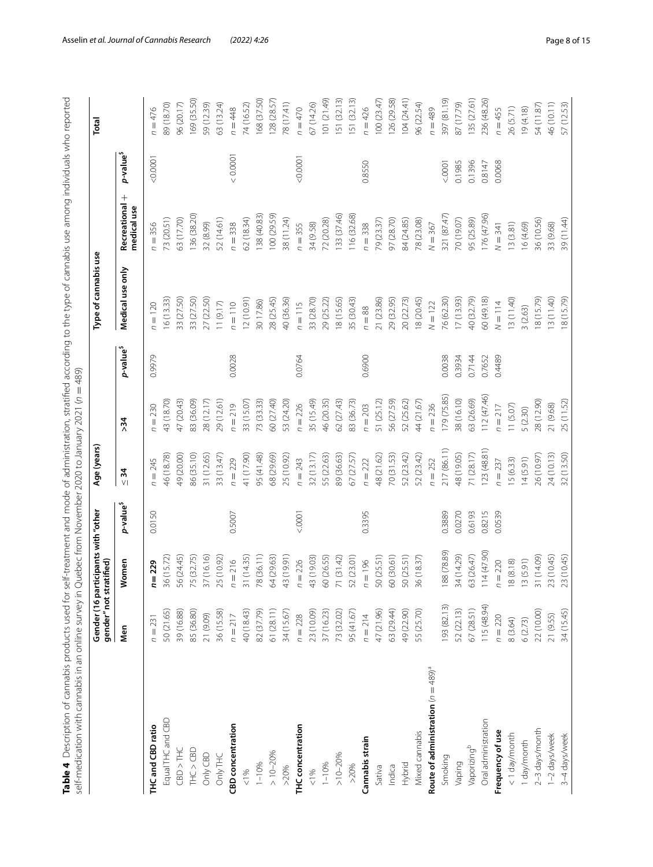<span id="page-7-0"></span>

|                                         | gender" not stratified)<br>$\overline{5}$<br>Gender | participants with "other           |                       | Age (years)                     |                           |                       | Type of cannabis use |                             |                       | Total        |
|-----------------------------------------|-----------------------------------------------------|------------------------------------|-----------------------|---------------------------------|---------------------------|-----------------------|----------------------|-----------------------------|-----------------------|--------------|
|                                         | Men                                                 | omen<br>౾                          | p-value <sup>\$</sup> | $\frac{1}{2}$<br>V <sub>1</sub> | $\frac{34}{5}$            | p-value <sup>\$</sup> | Medical use only     | Recreational<br>medical use | p-value <sup>\$</sup> |              |
| THC and CBD ratio                       | $n = 23$                                            | $n = 229$                          | 0.0150                | $n = 245$                       | $n = 230$                 | 0.9979                | $n = 120$            | $n = 356$                   | 0.0001                | $n = 476$    |
| Equal THC and CBD                       | 50 (21.65)                                          | 36 (15.72)                         |                       | 46 (18.78)                      | 43 (18.70)                |                       | 16(13.33)            | 73 (20.51)                  |                       | 89 (18.70)   |
| CBD > THC                               | 39 (16.88)                                          | 56 (24.45)                         |                       | 49 (20.00)                      | 47 (20.43)                |                       | 33 (27.50)           | 63 (17.70)                  |                       | 96 (20.17)   |
| THC > CBD                               | 85 (36.80)                                          | 75 (32.75)                         |                       | 86 (35.10)                      | 83 (36.09)                |                       | 33 (27.50)           | 136 (38.20)                 |                       | 169 (35.50)  |
| Only CBD                                | 21 (9.09)                                           | (16.16)<br>$\overline{57}$         |                       | 31 (12.65)                      | 28 (12.17)                |                       | 27 (22.50)           | 32 (8.99)                   |                       | 59 (12.39)   |
| Only THC                                | 36 (15.58)                                          | (10.92)<br>25                      |                       | 33 (13.47)                      | 29 (12.61)                |                       | 11(9.17)             | 52 (14.61)                  |                       | 63 (13.24)   |
| <b>CBD</b> concentration                | $n = 217$                                           | $n = 216$                          | 0.5007                | $n = 229$                       | $= 219$<br>C              | 0.0028                | $n = 110$            | $n = 338$                   | 0.0001                | $n = 448$    |
| $\leq 1\%$                              | 40 (18.43)                                          | 31 (14.35)                         |                       | 41 (17.90)                      | 33 (15.07)                |                       | 12(10.91)            | 62(18.34)                   |                       | 74 (16.52)   |
| $1 - 10%$                               | 82 (37.79)                                          | 78 (36.11)                         |                       | 95 (41.48)                      | 73 (33.33)                |                       | 30 17.86)            | 138 (40.83)                 |                       | 168 (37.50)  |
| $> 10 - 20%$                            | 61 (28.11)                                          | (29.63)<br>2                       |                       | 68 (29.69)                      | 60 (27.40)                |                       | 28 (25.45)           | 100 (29.59)                 |                       | 128 (28.57)  |
| >20%                                    | 34 (15.67)                                          | (19.91)<br>43                      |                       | 25 (10.92)                      | 53 (24.20)                |                       | 40 (36.36)           | 38 (11.24)                  |                       | 78(17.41)    |
| THC concentration                       | $n = 228$                                           | $n = 226$                          | < .0001               | $n = 243$                       | $n = 226$                 | 0.0764                | $n = 115$            | $n = 355$                   | 0.0001                | $n = 470$    |
| 1%                                      | 23 (10.09)                                          | (19.03)<br>43                      |                       | 32(13.17)                       | 35 (15.49)                |                       | 33 (28.70)           | 34 (9.58)                   |                       | 57 (14.26)   |
| $1 - 10%$                               | 37 (16.23)                                          | 60 (26.55)                         |                       | 55 (22.63)                      | 46 (20.35)                |                       | 29 (25.22)           | 72 (20.28)                  |                       | (101 (21.49) |
| $>10-20%$                               | 73 (32.02)                                          | (31.42)<br>$\overline{\mathbb{Z}}$ |                       | 89 (36.63)                      | 62 (27.43)                |                       | 18 (15.65)           | 133 (37.46)                 |                       | 151 (32.13)  |
| >20%                                    | 95 (41.67                                           | (23.01)<br>52                      |                       | 67 (27.57)                      | 83 (36.73)                |                       | 35 (30.43)           | 116 (32.68)                 |                       | 151 (32.13)  |
| Cannabis strain                         | $n = 214$                                           | $n = 196$                          | 0.3395                | $n = 222$                       | $n = 203$                 | 0.6900                | $n = 88$             | $n = 338$                   | 0.8550                | $n = 426$    |
| Sativa                                  | 47 (21.96)                                          | 50 (25.51)                         |                       | 48 (21.62)                      | 51 (25.12)                |                       | 21 (23.86)           | 79 (23.37)                  |                       | 100(23.47)   |
| Indica                                  | 63 (29.44)                                          | 60 (30.61)                         |                       | 70 (31.53)                      | 56 (27.59)                |                       | 29 (32.95)           | 97 (28.70)                  |                       | 126 (29.58)  |
| Hybrid                                  | 49 (22.90)                                          | 50 (25.51)                         |                       | 52 (23.42)                      | 52 (25.62)                |                       | 20 (22.73)           | 84 (24.85)                  |                       | IO4 (24.41)  |
| Mixed cannabis                          | 55 (25.70)                                          | 36 (18.37)                         |                       | 52 (23.42)                      | 44 (21.67)                |                       | 8 (20.45)            | 78 (23.08)                  |                       | 96 (22.54)   |
| Route of administration $(n = 489)^{5}$ |                                                     |                                    |                       | $n = 252$                       | $= 236$<br>$\overline{C}$ |                       | $N = 122$            | $N = 367$                   |                       | $n = 489$    |
| Smoking                                 | 193 (82.13)                                         | 188 (78.89)                        | 0.3889                | 217 (86.11)                     | 179 (75.85)               | 0.0038                | 76 (62.30)           | 321 (87.47)                 | < .0001               | 397 (81.19)  |
| Vaping                                  | 52 (22.13)                                          | 34 (14.29)                         | 0.0270                | 48 (19.05)                      | 38 (16.10)                | 0.3934                | 17(13.93)            | 70 (19.07)                  | 0.1985                | 87 (17.79)   |
| Vaporizing <sup>b</sup>                 | 67 (28.51)                                          | (26.47)<br>$\Im$                   | 0.6193                | 71 (28.17)                      | 63 (26.69)                | 0.7144                | 40 (32.79)           | 95 (25.89)                  | 0.1396                | 135 (27.61)  |
| Oral administration                     | 115 (48.94)                                         | 114 (47.90)                        | 0.8215                | 123(48.81)                      | 112(47.46)                | 0.7652                | 60 (49.18)           | 176 (47.96)                 | 0.8147                | 236 (48.26)  |
| Frequency of use                        | $n = 220$                                           | $n = 220$                          | 0.0539                | $n = 237$                       | $n = 217$                 | 0.4489                | $N = 114$            | $N = 341$                   | 0.0068                | $n = 455$    |
| <1 day/month                            | 8 (3.64)                                            | (8.18)<br>$\approx$                |                       | 15 (6.33)                       | 11(5.07)                  |                       | 13(11.40)            | 13(3.81)                    |                       | 26 (5.71)    |
| I day/month                             | 6(2.73)                                             | (5.91)<br>$\frac{1}{2}$            |                       | (4(5.91)                        | 5 (2.30)                  |                       | 3(2.63)              | 16 (4.69)                   |                       | 19(4.18)     |
| 2-3 days/month                          | 22 (10.00)                                          | (14.09)<br>$\overline{5}$          |                       | 26 (10.97)                      | 28 (12.90)                |                       | 8 (15.79)            | 36 (10.56)                  |                       | 54 (11.87)   |
| 1-2 days/week                           | 21 (9.55)                                           | (10.45)<br>23                      |                       | 24 (10.13)                      | 21 (9.68)                 |                       | 13 (11.40)           | 33 (9.68)                   |                       | 46 (10.11)   |
| 3-4 days/week                           | 34 (15.45)                                          | (10.45)<br>23                      |                       | 32 (13.50)                      | 25 (11.52)                |                       | 18 (15.79)           | 39 (11.44)                  |                       | 57 (12.53)   |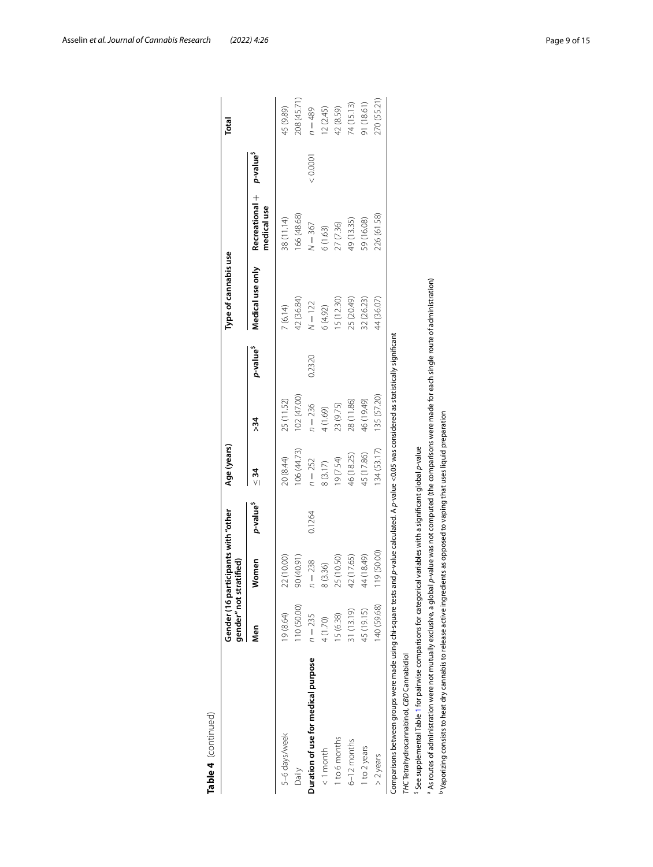|                                                                                                                                                                | gender" not stratified) | Gender (16 participants with "other |                      | Age (years)    |                |                      | Type of cannabis use |                               |                       | Total       |
|----------------------------------------------------------------------------------------------------------------------------------------------------------------|-------------------------|-------------------------------------|----------------------|----------------|----------------|----------------------|----------------------|-------------------------------|-----------------------|-------------|
|                                                                                                                                                                | Men                     | Vomen                               | p-value <sup>s</sup> | $\frac{34}{3}$ | $\frac{34}{5}$ | p-value <sup>s</sup> | Medical use only     | Recreational +<br>medical use | p-value <sup>\$</sup> |             |
| 5-6 days/week                                                                                                                                                  | 19 (8.64)               | 22 (10.00)                          |                      | 20 (8.44)      | 25 (11.52)     |                      | 7(6.14)              | 38 (11.14)                    |                       | 45 (9.89)   |
| Daily                                                                                                                                                          | 110 (50.00)             | 90 (40.91)                          |                      | 106(44.73)     | 102 (47.00)    |                      | 42 (36.84)           | 166 (48.68)                   |                       | 208 (45.71) |
| Duration of use for medical purpose                                                                                                                            | $n = 235$               | $= 238$                             | 0.1264               | $n = 252$      | $n = 236$      | 0.2320               | $N = 122$            | $N = 367$                     | 0.0001                | $n = 489$   |
| $< 1$ month                                                                                                                                                    | 4 (1.70)                | 8(3.36)                             |                      | 8(3.17)        | 4 (1.69)       |                      | 6(4.92)              | 6(1.63)                       |                       | 12(2.45)    |
| 1 to 6 months                                                                                                                                                  | 15 (6.38)               | 25 (10.50)                          |                      | (67.54)        | 23 (9.75)      |                      | 15 (12.30)           | 27 (7.36)                     |                       | 42 (8.59)   |
| $6-12$ months                                                                                                                                                  | 31 (13.19)              | 42 (17.65)                          |                      | 46 (18.25)     | 28 (11.86)     |                      | 25 (20.49)           | 49 (13.35)                    |                       | 74 (15.13)  |
| 1 to 2 years                                                                                                                                                   | 45 (19.15)              | 44 (18.49)                          |                      | 45 (17.86)     | 46 (19.49)     |                      | 32 (26.23)           | 59 (16.08)                    |                       | 91 (18.61)  |
| $>$ 2 years                                                                                                                                                    | 140 (59.68)             | 19 (50.00)                          |                      | 134 (53.17)    | 135 (57.20)    |                      | 44 (36.07)           | 226 (61.58)                   |                       | 270 (55.21) |
| Comparisons between groups were made using chi-square tests and p-value calculated. A p-value <0.05 was considered as statistically significant                |                         |                                     |                      |                |                |                      |                      |                               |                       |             |
| THC Tetrahydrocannabinol, CBD Cannabidiol                                                                                                                      |                         |                                     |                      |                |                |                      |                      |                               |                       |             |
| See supplemental Table 1 for pairwise comparisons for categorical variables with a significant global p-value                                                  |                         |                                     |                      |                |                |                      |                      |                               |                       |             |
| As routes of administration were not mutually exclusive, a global p-value was not computed (the comparisons were made for each single route of administration) |                         |                                     |                      |                |                |                      |                      |                               |                       |             |
| <sup>b</sup> Vaporizing consists to heat dry cannabis to release active ingredients as opposed to vaping that uses liquid preparation                          |                         |                                     |                      |                |                |                      |                      |                               |                       |             |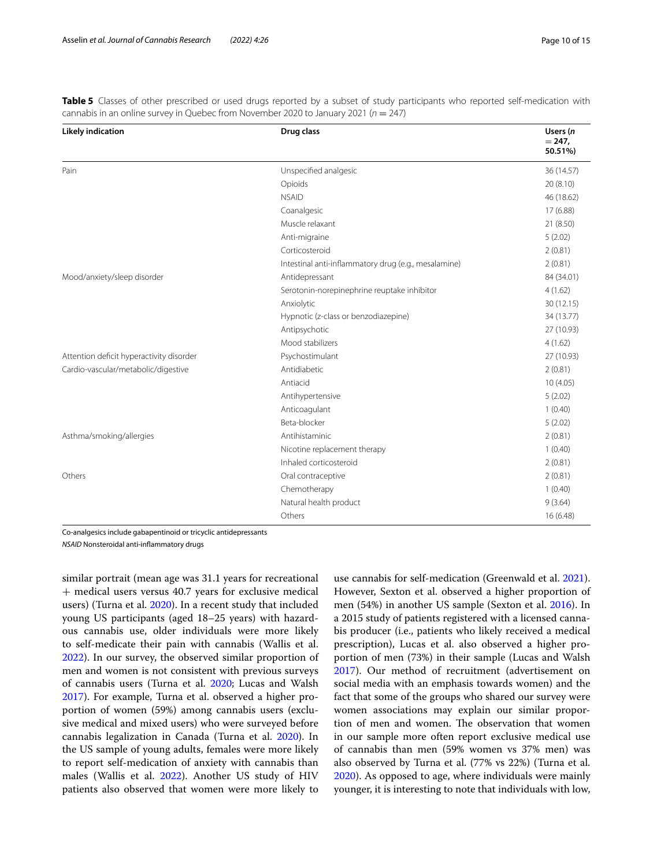| <b>Likely indication</b>                 | Drug class                                           | Users (n<br>$= 247,$<br>50.51%) |
|------------------------------------------|------------------------------------------------------|---------------------------------|
| Pain                                     | Unspecified analgesic                                | 36 (14.57)                      |
|                                          | Opioids                                              | 20(8.10)                        |
|                                          | <b>NSAID</b>                                         | 46 (18.62)                      |
|                                          | Coanalgesic                                          | 17 (6.88)                       |
|                                          | Muscle relaxant                                      | 21 (8.50)                       |
|                                          | Anti-migraine                                        | 5(2.02)                         |
|                                          | Corticosteroid                                       | 2(0.81)                         |
|                                          |                                                      |                                 |
|                                          | Intestinal anti-inflammatory drug (e.g., mesalamine) | 2(0.81)                         |
| Mood/anxiety/sleep disorder              | Antidepressant                                       | 84 (34.01)                      |
|                                          | Serotonin-norepinephrine reuptake inhibitor          | 4(1.62)                         |
|                                          | Anxiolytic                                           | 30 (12.15)                      |
|                                          | Hypnotic (z-class or benzodiazepine)                 | 34 (13.77)                      |
|                                          | Antipsychotic                                        | 27 (10.93)                      |
|                                          | Mood stabilizers                                     | 4(1.62)                         |
| Attention deficit hyperactivity disorder | Psychostimulant                                      | 27 (10.93)                      |
| Cardio-vascular/metabolic/digestive      | Antidiabetic                                         | 2(0.81)                         |
|                                          | Antiacid                                             | 10(4.05)                        |
|                                          | Antihypertensive                                     | 5(2.02)                         |
|                                          | Anticoagulant                                        | 1(0.40)                         |
|                                          | Beta-blocker                                         | 5(2.02)                         |
| Asthma/smoking/allergies                 | Antihistaminic                                       | 2(0.81)                         |
|                                          | Nicotine replacement therapy                         | 1(0.40)                         |
|                                          | Inhaled corticosteroid                               | 2(0.81)                         |
| Others                                   | Oral contraceptive                                   | 2(0.81)                         |
|                                          | Chemotherapy                                         | 1(0.40)                         |
|                                          | Natural health product                               | 9(3.64)                         |
|                                          | Others                                               | 16(6.48)                        |

<span id="page-9-0"></span>Table 5 Classes of other prescribed or used drugs reported by a subset of study participants who reported self-medication with cannabis in an online survey in Quebec from November 2020 to January 2021 (*n* = 247)

Co-analgesics include gabapentinoid or tricyclic antidepressants

*NSAID* Nonsteroidal anti-infammatory drugs

similar portrait (mean age was 31.1 years for recreational + medical users versus 40.7 years for exclusive medical users) (Turna et al. [2020](#page-14-12)). In a recent study that included young US participants (aged 18–25 years) with hazardous cannabis use, older individuals were more likely to self-medicate their pain with cannabis (Wallis et al. [2022](#page-14-13)). In our survey, the observed similar proportion of men and women is not consistent with previous surveys of cannabis users (Turna et al. [2020](#page-14-12); Lucas and Walsh [2017](#page-14-14)). For example, Turna et al. observed a higher proportion of women (59%) among cannabis users (exclusive medical and mixed users) who were surveyed before cannabis legalization in Canada (Turna et al. [2020](#page-14-12)). In the US sample of young adults, females were more likely to report self-medication of anxiety with cannabis than males (Wallis et al. [2022\)](#page-14-13). Another US study of HIV patients also observed that women were more likely to

use cannabis for self-medication (Greenwald et al. [2021](#page-14-15)). However, Sexton et al. observed a higher proportion of men (54%) in another US sample (Sexton et al. [2016](#page-14-8)). In a 2015 study of patients registered with a licensed cannabis producer (i.e., patients who likely received a medical prescription), Lucas et al. also observed a higher proportion of men (73%) in their sample (Lucas and Walsh [2017](#page-14-14)). Our method of recruitment (advertisement on social media with an emphasis towards women) and the fact that some of the groups who shared our survey were women associations may explain our similar proportion of men and women. The observation that women in our sample more often report exclusive medical use of cannabis than men (59% women vs 37% men) was also observed by Turna et al. (77% vs 22%) (Turna et al. [2020](#page-14-12)). As opposed to age, where individuals were mainly younger, it is interesting to note that individuals with low,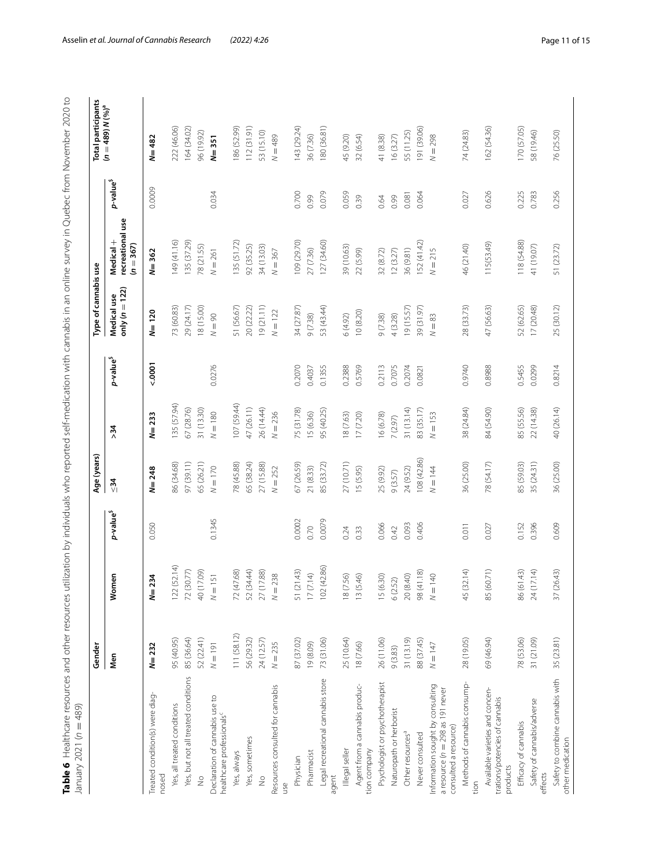<span id="page-10-0"></span>

| ı<br>j<br>sher trom November                                                                     |                |
|--------------------------------------------------------------------------------------------------|----------------|
|                                                                                                  |                |
| ı.                                                                                               |                |
|                                                                                                  |                |
|                                                                                                  |                |
| $\vdots$<br>j                                                                                    |                |
| )<br>2<br>)                                                                                      |                |
| 5<br>(                                                                                           |                |
|                                                                                                  |                |
|                                                                                                  |                |
|                                                                                                  |                |
| ) > 12   11   11   11   11   11   11   12   12   12   12   12   12   12   12   12   12   12   12 |                |
|                                                                                                  |                |
|                                                                                                  |                |
|                                                                                                  |                |
| $\frac{1}{2}$                                                                                    |                |
| )<br>.                                                                                           |                |
|                                                                                                  |                |
|                                                                                                  |                |
| $2 - 1 - 2$<br>)                                                                                 |                |
| j<br>Ī<br>Ĵ                                                                                      |                |
| į<br>i-mai<br>l<br>֖֖֖֦֦֪ׅ֖ׅ֪ׅ֪ׅ֪֪ׅ֪ׅ֪ׅ֪ׅ֪ׅ֚֚֚֚֚֚֚֡֝֝֝֬֝֝֬֝֝֝֬֝֝֝֝֬֝֝֬֝֝֬֝֝֬֝֝֬                  |                |
| J<br>י<br>$\tilde{\zeta}$<br>1                                                                   |                |
| )<br>)<br>)<br>্<br>j                                                                            |                |
| j                                                                                                |                |
| こうへいこ<br>j                                                                                       |                |
|                                                                                                  |                |
| ١<br>5<br>$\ddot{\cdot}$<br>5                                                                    |                |
| ١                                                                                                |                |
| -<br>Circulation<br>Circulation<br>Circulation<br>j<br>$\frac{5}{1}$                             |                |
|                                                                                                  |                |
| $\frac{2}{1}$<br>i<br>)                                                                          |                |
|                                                                                                  |                |
|                                                                                                  |                |
| rces utilizati                                                                                   |                |
|                                                                                                  |                |
| j                                                                                                |                |
| i                                                                                                |                |
| i<br>;<br>נ                                                                                      |                |
|                                                                                                  |                |
|                                                                                                  |                |
|                                                                                                  |                |
| シェラ フノ・ランフリー ノラノニマー<br>こう じんりょこ りょうりょくりょう                                                        | č<br>$n = 489$ |
|                                                                                                  |                |
|                                                                                                  |                |
| $\frac{1}{2}$                                                                                    | <br> }<br> }   |
| $\blacksquare$ e 6 $\blacksquare$                                                                | j              |
|                                                                                                  |                |

|                                                                                                  | Gender      |                                           |                       | Age (years) |             |                       | Type of cannabis use              |                                              |                       | <b>Total participants</b> |
|--------------------------------------------------------------------------------------------------|-------------|-------------------------------------------|-----------------------|-------------|-------------|-----------------------|-----------------------------------|----------------------------------------------|-----------------------|---------------------------|
|                                                                                                  | Men         | န<br>Wom                                  | p-value <sup>\$</sup> | $\leq 34$   | >34         | p-value <sup>\$</sup> | only ( $n = 122$ )<br>Medical use | recreational use<br>Medical +<br>$(n = 367)$ | p-value <sup>\$</sup> | $(n = 489)N(96)a$         |
| Treated condition(s) were diag-<br>nosed                                                         | $N = 232$   | $\frac{3}{4}$<br>$N=2$                    | 0.050                 | $N = 248$   | $N = 233$   | $5000 - 7000$         | $N = 120$                         | $N = 362$                                    | 0.0009                | $N = 482$                 |
| Yes, all treated conditions                                                                      | 95 (40.95)  | 122(52.14)                                |                       | 86 (34.68)  | 135 (57.94) |                       | 73 (60.83)                        | 149 (41.16)                                  |                       | 222 (46.06)               |
| Yes, but not all treated conditions                                                              | 85 (36.64)  | 72 (30.77)                                |                       | 97 (39.11)  | 67 (28.76)  |                       | 29 (24.17)                        | 135 (37.29)                                  |                       | 164 (34.02)               |
| $\frac{0}{2}$                                                                                    | 52 (22.41)  | 40 (17.09)                                |                       | 65 (26.21)  | 31 (13.30)  |                       | 18 (15.00)                        | 78 (21.55)                                   |                       | 96 (19.92)                |
| Declaration of cannabis use to<br>healthcare professionals <sup>c</sup>                          | $N = 191$   | $\overline{5}$<br>$N = 1$                 | 0.1345                | $N = 170$   | $N = 180$   | 0.0276                | $N = 90$                          | $N = 261$                                    | 0.034                 | $N = 351$                 |
| Yes, always                                                                                      | 111 (58.12) | 72 (47.68)                                |                       | 78 (45.88)  | 107 (59.44) |                       | 51 (56.67)                        | 135 (51.72)                                  |                       | 186 (52.99)               |
| Yes, sometimes                                                                                   | 56 (29.32)  | 52 (34.44)                                |                       | 65 (38.24)  | 47 (26.11)  |                       | 20 (22.22)                        | 92 (35.25)                                   |                       | 112(31.91)                |
| $\frac{1}{2}$                                                                                    | 24 (12.57)  | 27 (17.88)                                |                       | 27 (15.88)  | 26 (14.44)  |                       | 19(21.11)                         | 34 (13.03)                                   |                       | 53 (15.10)                |
| Resources consulted for cannabis<br>use                                                          | $N = 235$   | $N = 238$                                 |                       | $N = 252$   | $N = 236$   |                       | $N = 122$                         | $N = 367$                                    |                       | $N = 489$                 |
| Physician                                                                                        | 87 (37.02)  | 51 (21.43)                                | 0.0002                | 67 (26.59)  | 75 (31.78)  | 0.2070                | 34 (27.87)                        | 109 (29.70)                                  | 0.700                 | 143 (29.24)               |
| Pharmacist                                                                                       | 19 (8.09)   | 17(7.14)                                  | 0.70                  | 21 (8.33)   | 15 (6.36)   | 0.4037                | 9(7.38)                           | 27 (7.36)                                    | 0.99                  | 36 (7.36)                 |
| Legal recreational cannabis store<br>agent                                                       | 73 (31.06)  | 102 (42.86)                               | 0.0079                | 85 (33.72)  | 95 (40.25)  | 0.1355                | 53 (43.44)                        | 127 (34.60)                                  | 0.079                 | 180 (36.81)               |
| Illegal seller                                                                                   | 25 (10.64)  | 18 (7.56)                                 | 0.24                  | 27 (10.71)  | 18 (7.63)   | 0.2388                | (5(4.92)                          | 39 (10.63)                                   | 0.059                 | 45 (9.20)                 |
| Agent from a cannabis produc-<br>tion company                                                    | 18 (7.66)   | 13 (5.46)                                 | 0.33                  | 15 (5.95)   | 17(7.20)    | 0.5769                | 10(8.20)                          | 22 (5.99)                                    | 0.39                  | 32 (6.54)                 |
| Psychologist or psychotherapist                                                                  | 26 (11.06)  | 15 (6.30)                                 | 0.066                 | 25 (9.92)   | 16 (6.78)   | 0.2113                | 9(7.38)                           | 32(8.72)                                     | 0.64                  | 41 (8.38)                 |
| Naturopath or herborist                                                                          | 9(3.83)     | 6(2.52)                                   | 0.42                  | 9(3.57)     | 7(2.97)     | 0.7075                | 4(3.28)                           | 12(3.27)                                     | 0.99                  | 16(3.27)                  |
| Other resources <sup>a</sup>                                                                     | 31 (13.19)  | 20 (8.40)                                 | 0.093                 | 24 (9.52)   | 31(13.14)   | 0.2074                | 19(15.57)                         | 36 (9.81)                                    | 0.081                 | 55 (11.25)                |
| Never consulted                                                                                  | 88 (37.45)  | 98 (41.18)                                | 0.406                 | 108 (42.86) | 83 (35.17)  | 0.0821                | 39 (31.97)                        | 152 (41.42)                                  | 0.064                 | 191 (39.06)               |
| Information sought by consulting<br>a resource ( $n = 298$ as 191 never<br>consulted a resource) | $N = 147$   | $\mathrel{\ominus}$<br>$\overline{N} = 1$ |                       | $N = 144$   | $N = 153$   |                       | $N=83$                            | $N = 215$                                    |                       | $N = 298$                 |
| Methods of cannabis consump-<br>tion                                                             | 28 (19.05)  | 45 (32.14)                                | 0.011                 | 36 (25.00)  | 38 (24.84)  | 0.9740                | 28 (33.73)                        | 46 (21.40)                                   | 0.027                 | 74 (24.83)                |
| Available varieties and concen-<br>trations/potencies of cannabis<br>products                    | 69 (46.94)  | 85 (60.71)                                | 0.027                 | 78 (54.17)  | 84 (54.90)  | 0.8988                | 47 (56.63)                        | 115(53.49)                                   | 0.626                 | 162 (54.36)               |
| Efficacy of cannabis                                                                             | 78 (53.06)  | 86 (61.43)                                | 0.152                 | 85 (59.03)  | 85 (55.56)  | 0.5455                | 52 (62.65)                        | 118 (54.88)                                  | 0.225                 | 170 (57.05)               |
| Safety of cannabis/adverse<br>effects                                                            | 31 (21.09)  | 24 (17.14)                                | 0.396                 | 35 (24.31)  | 22 (14.38)  | 0.0299                | 17(20.48)                         | 41 (19.07)                                   | 0.783                 | 58 (19.46)                |
| Safety to combine cannabis with<br>other medication                                              | 35 (23.81)  | 37 (26.43)                                | 0.609                 | 36 (25.00)  | 40 (26.14)  | 0.8214                | 25 (30.12)                        | 51 (23.72)                                   | 0.256                 | 76 (25.50)                |
|                                                                                                  |             |                                           |                       |             |             |                       |                                   |                                              |                       |                           |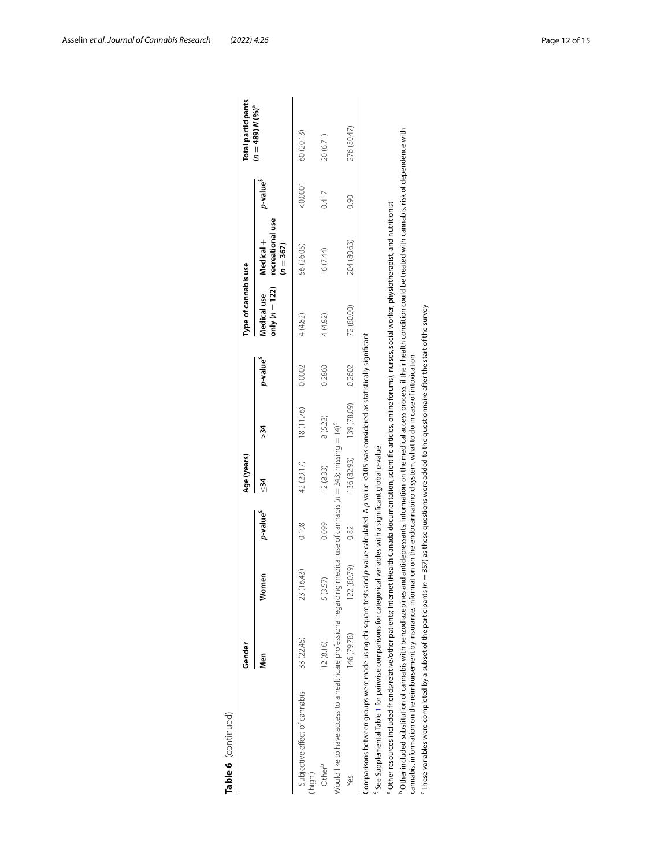|                                                                                                                                                                                                                                                                                                                                                          | Gender      |             |                      | Age (years) |                         |                      | Type of cannabis use            |                                              |                      | Total participants   |
|----------------------------------------------------------------------------------------------------------------------------------------------------------------------------------------------------------------------------------------------------------------------------------------------------------------------------------------------------------|-------------|-------------|----------------------|-------------|-------------------------|----------------------|---------------------------------|----------------------------------------------|----------------------|----------------------|
|                                                                                                                                                                                                                                                                                                                                                          | Men         | Women       | p-value <sup>s</sup> | $\leq 34$   | > 34                    | p-value <sup>s</sup> | only $(n = 122)$<br>Medical use | recreational use<br>Medical +<br>$(n = 367)$ | p-value <sup>s</sup> | $(n = 489) N (96)^a$ |
| Subjective effect of cannabis<br>(high)                                                                                                                                                                                                                                                                                                                  | 33 (22.45)  | 23 (16.43)  | 0.198                | 42 (29.17)  | 18 (11.76)              | 0.0002               | 4 (4.82)                        | 56 (26.05)                                   | 0.0001               | 60 (20.13)           |
| Other <sup>b</sup>                                                                                                                                                                                                                                                                                                                                       | 12(8.16)    | 5 (3.57)    | 0.099                | 12(8.33)    | 8(5.23)                 | 0.2860               | 4(4.82)                         | 16 (7.44)                                    | 0.417                | 20 (6.71)            |
| Would like to have access to a healthcare professional regarding medical use of cannabis ( $n=343$ ; missing $=14$ ) <sup>c</sup>                                                                                                                                                                                                                        |             |             |                      |             |                         |                      |                                 |                                              |                      |                      |
| Yes                                                                                                                                                                                                                                                                                                                                                      | 146 (79.78) | 122 (80.79) | 0.82                 |             | 136 (82.93) 139 (78.09) | 0.2602               | 72 (80.00)                      | 204 (80.63)                                  | 0.90                 | 276 (80.47)          |
| Comparisons between groups were made using chi-square tests and p-value calculated. A p-value <0.05 was considered as statistically significant                                                                                                                                                                                                          |             |             |                      |             |                         |                      |                                 |                                              |                      |                      |
| See Supplemental Table 1 for pairwise comparisons for categorical variables with a significant global p-value                                                                                                                                                                                                                                            |             |             |                      |             |                         |                      |                                 |                                              |                      |                      |
| Other resources included friends/relative/other patients; Internet (Health Canada documentation, scientific articles, online forums), nurses, social worker, physiotherapist, and nutritionist                                                                                                                                                           |             |             |                      |             |                         |                      |                                 |                                              |                      |                      |
| Other included substitution of cannabis with benzodiazepines and antidepressants, information on the medical access process, if their health condition could be treated with cannabis, risk of dependence with<br>cannabis, information on the reimbursement by insurance, information on the endocannabinoid system, what to do in case of intoxication |             |             |                      |             |                         |                      |                                 |                                              |                      |                      |
| . These variables were completed by a subset of the participants ( $n=357$ as these questions were added to the questionnaire after the start of the survey                                                                                                                                                                                              |             |             |                      |             |                         |                      |                                 |                                              |                      |                      |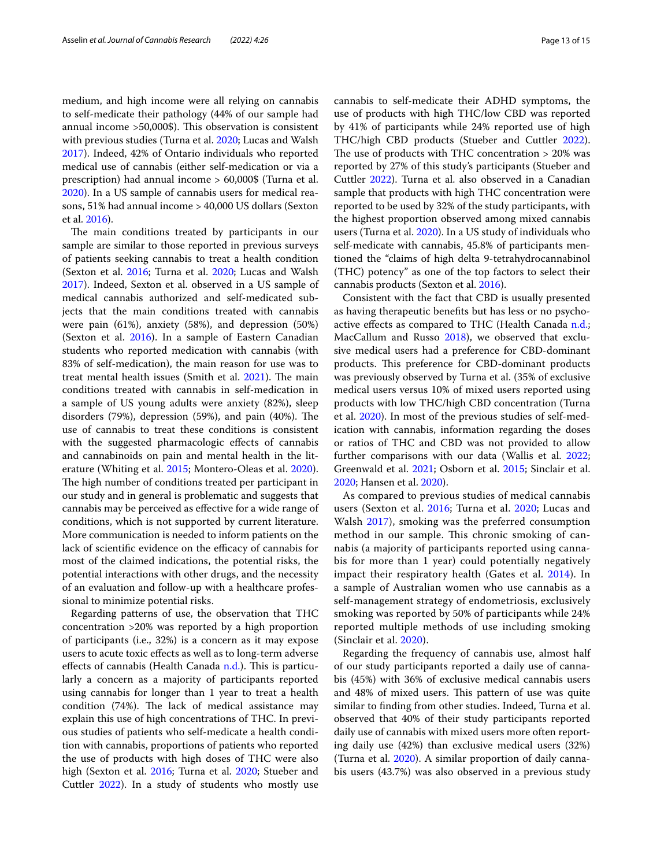medium, and high income were all relying on cannabis to self-medicate their pathology (44% of our sample had annual income  $>50,000$ \$). This observation is consistent with previous studies (Turna et al. [2020](#page-14-12); Lucas and Walsh [2017](#page-14-14)). Indeed, 42% of Ontario individuals who reported medical use of cannabis (either self-medication or via a prescription) had annual income > 60,000\$ (Turna et al. [2020](#page-14-12)). In a US sample of cannabis users for medical reasons, 51% had annual income > 40,000 US dollars (Sexton et al. [2016\)](#page-14-8).

The main conditions treated by participants in our sample are similar to those reported in previous surveys of patients seeking cannabis to treat a health condition (Sexton et al. [2016](#page-14-8); Turna et al. [2020](#page-14-12); Lucas and Walsh [2017](#page-14-14)). Indeed, Sexton et al. observed in a US sample of medical cannabis authorized and self-medicated subjects that the main conditions treated with cannabis were pain (61%), anxiety (58%), and depression (50%) (Sexton et al. [2016](#page-14-8)). In a sample of Eastern Canadian students who reported medication with cannabis (with 83% of self-medication), the main reason for use was to treat mental health issues (Smith et al.  $2021$ ). The main conditions treated with cannabis in self-medication in a sample of US young adults were anxiety (82%), sleep disorders  $(79%)$ , depression  $(59%)$ , and pain  $(40%)$ . The use of cannabis to treat these conditions is consistent with the suggested pharmacologic efects of cannabis and cannabinoids on pain and mental health in the literature (Whiting et al. [2015;](#page-14-17) Montero-Oleas et al. [2020](#page-14-18)). The high number of conditions treated per participant in our study and in general is problematic and suggests that cannabis may be perceived as efective for a wide range of conditions, which is not supported by current literature. More communication is needed to inform patients on the lack of scientific evidence on the efficacy of cannabis for most of the claimed indications, the potential risks, the potential interactions with other drugs, and the necessity of an evaluation and follow-up with a healthcare professional to minimize potential risks.

Regarding patterns of use, the observation that THC concentration >20% was reported by a high proportion of participants (i.e., 32%) is a concern as it may expose users to acute toxic efects as well as to long-term adverse effects of cannabis (Health Canada [n.d.](#page-14-19)). This is particularly a concern as a majority of participants reported using cannabis for longer than 1 year to treat a health condition  $(74%)$ . The lack of medical assistance may explain this use of high concentrations of THC. In previous studies of patients who self-medicate a health condition with cannabis, proportions of patients who reported the use of products with high doses of THC were also high (Sexton et al. [2016;](#page-14-8) Turna et al. [2020;](#page-14-12) Stueber and Cuttler [2022](#page-14-20)). In a study of students who mostly use cannabis to self-medicate their ADHD symptoms, the use of products with high THC/low CBD was reported by 41% of participants while 24% reported use of high THC/high CBD products (Stueber and Cuttler [2022](#page-14-20)). The use of products with THC concentration  $>$  20% was reported by 27% of this study's participants (Stueber and Cuttler [2022](#page-14-20)). Turna et al. also observed in a Canadian sample that products with high THC concentration were reported to be used by 32% of the study participants, with the highest proportion observed among mixed cannabis users (Turna et al. [2020\)](#page-14-12). In a US study of individuals who self-medicate with cannabis, 45.8% of participants mentioned the "claims of high delta 9-tetrahydrocannabinol (THC) potency" as one of the top factors to select their cannabis products (Sexton et al. [2016\)](#page-14-8).

Consistent with the fact that CBD is usually presented as having therapeutic benefts but has less or no psychoactive efects as compared to THC (Health Canada [n.d.](#page-14-19); MacCallum and Russo [2018](#page-14-21)), we observed that exclusive medical users had a preference for CBD-dominant products. This preference for CBD-dominant products was previously observed by Turna et al. (35% of exclusive medical users versus 10% of mixed users reported using products with low THC/high CBD concentration (Turna et al. [2020\)](#page-14-12). In most of the previous studies of self-medication with cannabis, information regarding the doses or ratios of THC and CBD was not provided to allow further comparisons with our data (Wallis et al. [2022](#page-14-13); Greenwald et al. [2021;](#page-14-15) Osborn et al. [2015;](#page-14-22) Sinclair et al. [2020](#page-14-23); Hansen et al. [2020\)](#page-14-24).

As compared to previous studies of medical cannabis users (Sexton et al. [2016](#page-14-8); Turna et al. [2020;](#page-14-12) Lucas and Walsh [2017\)](#page-14-14), smoking was the preferred consumption method in our sample. This chronic smoking of cannabis (a majority of participants reported using cannabis for more than 1 year) could potentially negatively impact their respiratory health (Gates et al. [2014](#page-14-25)). In a sample of Australian women who use cannabis as a self-management strategy of endometriosis, exclusively smoking was reported by 50% of participants while 24% reported multiple methods of use including smoking (Sinclair et al. [2020\)](#page-14-23).

Regarding the frequency of cannabis use, almost half of our study participants reported a daily use of cannabis (45%) with 36% of exclusive medical cannabis users and 48% of mixed users. This pattern of use was quite similar to fnding from other studies. Indeed, Turna et al. observed that 40% of their study participants reported daily use of cannabis with mixed users more often reporting daily use (42%) than exclusive medical users (32%) (Turna et al. [2020\)](#page-14-12). A similar proportion of daily cannabis users (43.7%) was also observed in a previous study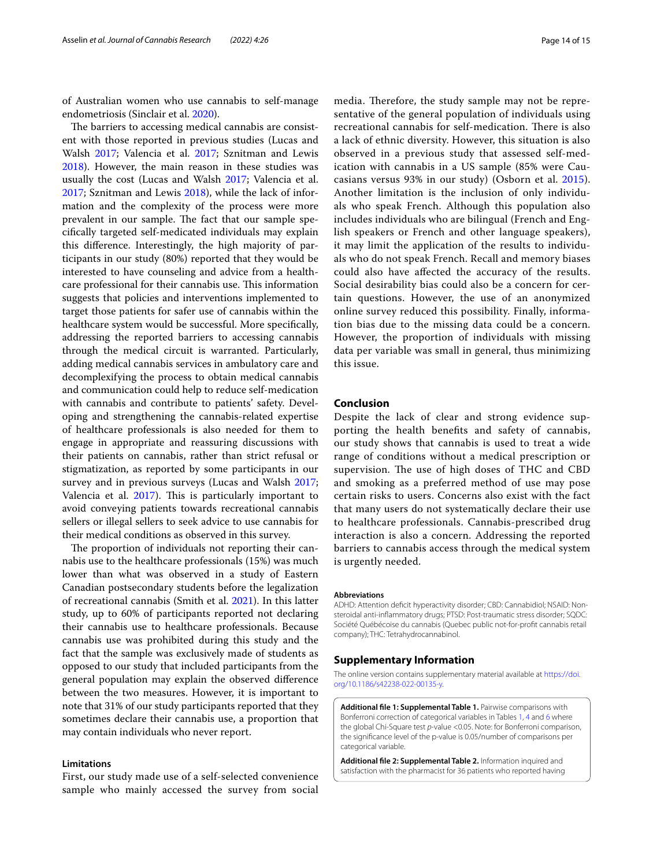of Australian women who use cannabis to self-manage endometriosis (Sinclair et al. [2020](#page-14-23)).

The barriers to accessing medical cannabis are consistent with those reported in previous studies (Lucas and Walsh [2017](#page-14-14); Valencia et al. [2017](#page-14-26); Sznitman and Lewis [2018](#page-14-27)). However, the main reason in these studies was usually the cost (Lucas and Walsh [2017](#page-14-14); Valencia et al. [2017](#page-14-26); Sznitman and Lewis [2018\)](#page-14-27), while the lack of information and the complexity of the process were more prevalent in our sample. The fact that our sample specifcally targeted self-medicated individuals may explain this diference. Interestingly, the high majority of participants in our study (80%) reported that they would be interested to have counseling and advice from a healthcare professional for their cannabis use. This information suggests that policies and interventions implemented to target those patients for safer use of cannabis within the healthcare system would be successful. More specifcally, addressing the reported barriers to accessing cannabis through the medical circuit is warranted. Particularly, adding medical cannabis services in ambulatory care and decomplexifying the process to obtain medical cannabis and communication could help to reduce self-medication with cannabis and contribute to patients' safety. Developing and strengthening the cannabis-related expertise of healthcare professionals is also needed for them to engage in appropriate and reassuring discussions with their patients on cannabis, rather than strict refusal or stigmatization, as reported by some participants in our survey and in previous surveys (Lucas and Walsh [2017](#page-14-14); Valencia et al. [2017\)](#page-14-26). This is particularly important to avoid conveying patients towards recreational cannabis sellers or illegal sellers to seek advice to use cannabis for their medical conditions as observed in this survey.

The proportion of individuals not reporting their cannabis use to the healthcare professionals (15%) was much lower than what was observed in a study of Eastern Canadian postsecondary students before the legalization of recreational cannabis (Smith et al. [2021](#page-14-16)). In this latter study, up to 60% of participants reported not declaring their cannabis use to healthcare professionals. Because cannabis use was prohibited during this study and the fact that the sample was exclusively made of students as opposed to our study that included participants from the general population may explain the observed diference between the two measures. However, it is important to note that 31% of our study participants reported that they sometimes declare their cannabis use, a proportion that may contain individuals who never report.

## **Limitations**

First, our study made use of a self-selected convenience sample who mainly accessed the survey from social

media. Therefore, the study sample may not be representative of the general population of individuals using recreational cannabis for self-medication. There is also a lack of ethnic diversity. However, this situation is also observed in a previous study that assessed self-medication with cannabis in a US sample (85% were Caucasians versus 93% in our study) (Osborn et al. [2015](#page-14-22)). Another limitation is the inclusion of only individuals who speak French. Although this population also includes individuals who are bilingual (French and English speakers or French and other language speakers), it may limit the application of the results to individuals who do not speak French. Recall and memory biases could also have afected the accuracy of the results. Social desirability bias could also be a concern for certain questions. However, the use of an anonymized online survey reduced this possibility. Finally, information bias due to the missing data could be a concern. However, the proportion of individuals with missing data per variable was small in general, thus minimizing this issue.

## **Conclusion**

Despite the lack of clear and strong evidence supporting the health benefts and safety of cannabis, our study shows that cannabis is used to treat a wide range of conditions without a medical prescription or supervision. The use of high doses of THC and CBD and smoking as a preferred method of use may pose certain risks to users. Concerns also exist with the fact that many users do not systematically declare their use to healthcare professionals. Cannabis-prescribed drug interaction is also a concern. Addressing the reported barriers to cannabis access through the medical system is urgently needed.

#### **Abbreviations**

ADHD: Attention deficit hyperactivity disorder; CBD: Cannabidiol; NSAID: Nonsteroidal anti-infammatory drugs; PTSD: Post-traumatic stress disorder; SQDC: Société Québécoise du cannabis (Quebec public not-for-proft cannabis retail company); THC: Tetrahydrocannabinol.

#### **Supplementary Information**

The online version contains supplementary material available at [https://doi.](https://doi.org/10.1186/s42238-022-00135-y) [org/10.1186/s42238-022-00135-y.](https://doi.org/10.1186/s42238-022-00135-y)

<span id="page-13-0"></span>**Additional fle 1: Supplemental Table 1.** Pairwise comparisons with Bonferroni correction of categorical variables in Tables [1,](#page-3-0) [4](#page-7-0) and [6](#page-10-0) where the global Chi-Square test *p*-value <0.05. Note: for Bonferroni comparison, the signifcance level of the p-value is 0.05/number of comparisons per categorical variable.

<span id="page-13-1"></span>**Additional fle 2: Supplemental Table 2.** Information inquired and satisfaction with the pharmacist for 36 patients who reported having